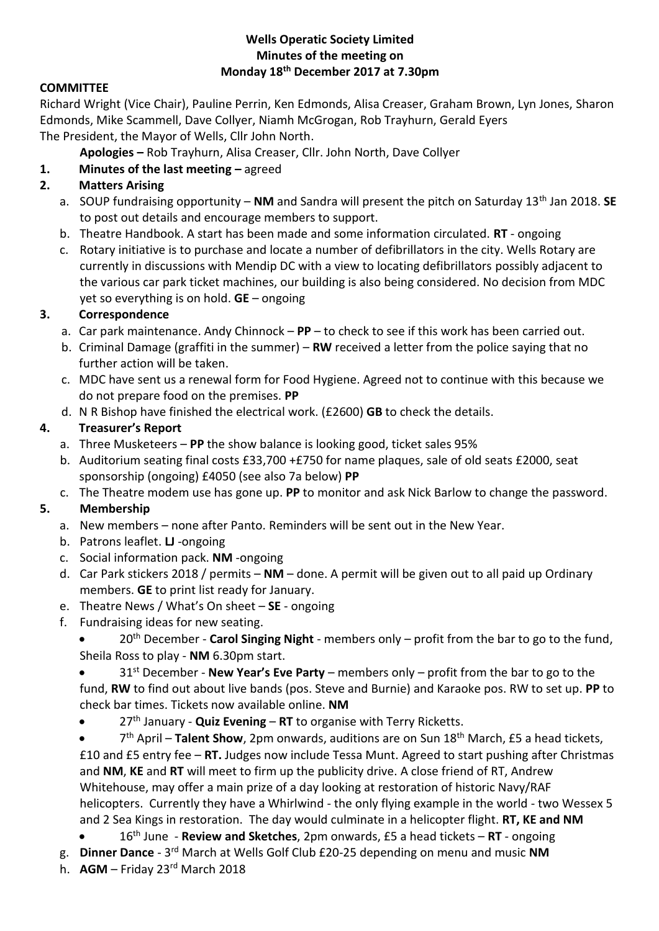### **Wells Operatic Society Limited Minutes of the meeting on Monday 18th December 2017 at 7.30pm**

## **COMMITTEE**

Richard Wright (Vice Chair), Pauline Perrin, Ken Edmonds, Alisa Creaser, Graham Brown, Lyn Jones, Sharon Edmonds, Mike Scammell, Dave Collyer, Niamh McGrogan, Rob Trayhurn, Gerald Eyers The President, the Mayor of Wells, Cllr John North.

**Apologies –** Rob Trayhurn, Alisa Creaser, Cllr. John North, Dave Collyer

## **1. Minutes of the last meeting –** agreed

## **2. Matters Arising**

- a. SOUP fundraising opportunity **NM** and Sandra will present the pitch on Saturday 13th Jan 2018. **SE** to post out details and encourage members to support.
- b. Theatre Handbook. A start has been made and some information circulated. **RT** ongoing
- c. Rotary initiative is to purchase and locate a number of defibrillators in the city. Wells Rotary are currently in discussions with Mendip DC with a view to locating defibrillators possibly adjacent to the various car park ticket machines, our building is also being considered. No decision from MDC yet so everything is on hold. **GE** – ongoing

### **3. Correspondence**

- a. Car park maintenance. Andy Chinnock **PP** to check to see if this work has been carried out.
- b. Criminal Damage (graffiti in the summer) **RW** received a letter from the police saying that no further action will be taken.
- c. MDC have sent us a renewal form for Food Hygiene. Agreed not to continue with this because we do not prepare food on the premises. **PP**
- d. N R Bishop have finished the electrical work. (£2600) **GB** to check the details.

## **4. Treasurer's Report**

- a. Three Musketeers **PP** the show balance is looking good, ticket sales 95%
- b. Auditorium seating final costs £33,700 +£750 for name plaques, sale of old seats £2000, seat sponsorship (ongoing) £4050 (see also 7a below) **PP**
- c. The Theatre modem use has gone up. **PP** to monitor and ask Nick Barlow to change the password.

## **5. Membership**

- a. New members none after Panto. Reminders will be sent out in the New Year.
- b. Patrons leaflet. **LJ** -ongoing
- c. Social information pack. **NM** -ongoing
- d. Car Park stickers 2018 / permits **NM**  done. A permit will be given out to all paid up Ordinary members. **GE** to print list ready for January.
- e. Theatre News / What's On sheet **SE** ongoing
- f. Fundraising ideas for new seating.
	- 20th December **Carol Singing Night** members only profit from the bar to go to the fund, Sheila Ross to play - **NM** 6.30pm start.
	- 31st December **New Year's Eve Party** members only profit from the bar to go to the fund, **RW** to find out about live bands (pos. Steve and Burnie) and Karaoke pos. RW to set up. **PP** to check bar times. Tickets now available online. **NM**
	- 27th January **Quiz Evening RT** to organise with Terry Ricketts.
	- 7 th April **Talent Show**, 2pm onwards, auditions are on Sun 18th March, £5 a head tickets, £10 and £5 entry fee – **RT.** Judges now include Tessa Munt. Agreed to start pushing after Christmas and **NM**, **KE** and **RT** will meet to firm up the publicity drive. A close friend of RT, Andrew Whitehouse, may offer a main prize of a day looking at restoration of historic Navy/RAF helicopters. Currently they have a Whirlwind - the only flying example in the world - two Wessex 5 and 2 Sea Kings in restoration. The day would culminate in a helicopter flight. **RT, KE and NM**
	- 16th June **Review and Sketches**, 2pm onwards, £5 a head tickets **RT** ongoing
- g. **Dinner Dance** 3<sup>rd</sup> March at Wells Golf Club £20-25 depending on menu and music NM
- h. **AGM** Friday 23rd March 2018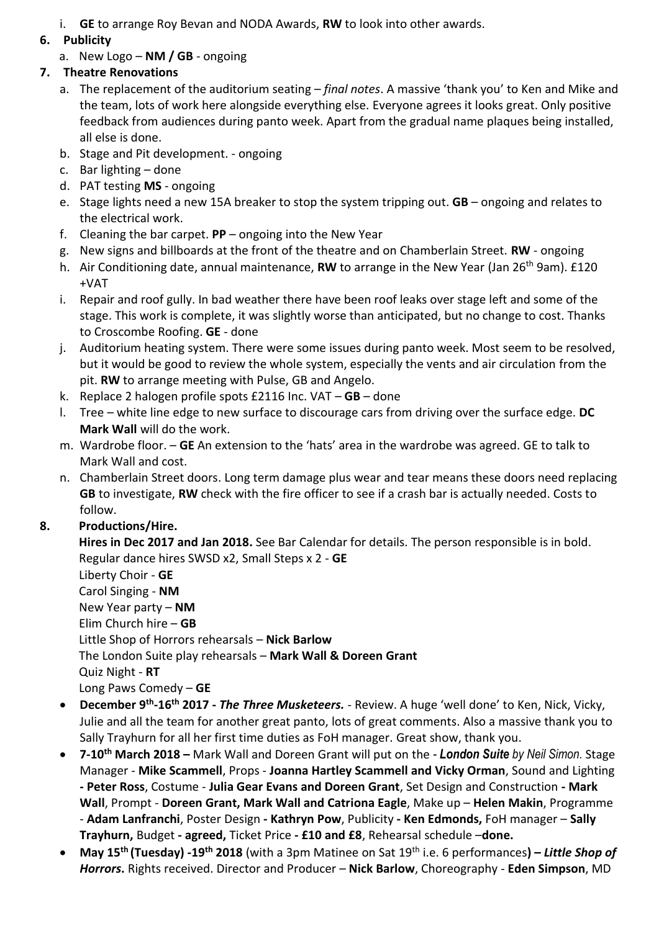i. **GE** to arrange Roy Bevan and NODA Awards, **RW** to look into other awards.

## **6. Publicity**

a. New Logo – **NM / GB** - ongoing

## **7. Theatre Renovations**

- a. The replacement of the auditorium seating *final notes*. A massive 'thank you' to Ken and Mike and the team, lots of work here alongside everything else. Everyone agrees it looks great. Only positive feedback from audiences during panto week. Apart from the gradual name plaques being installed, all else is done.
- b. Stage and Pit development. ongoing
- c. Bar lighting done
- d. PAT testing **MS** ongoing
- e. Stage lights need a new 15A breaker to stop the system tripping out. **GB** ongoing and relates to the electrical work.
- f. Cleaning the bar carpet. **PP** ongoing into the New Year
- g. New signs and billboards at the front of the theatre and on Chamberlain Street. **RW** ongoing
- h. Air Conditioning date, annual maintenance, **RW** to arrange in the New Year (Jan 26th 9am). £120 +VAT
- i. Repair and roof gully. In bad weather there have been roof leaks over stage left and some of the stage. This work is complete, it was slightly worse than anticipated, but no change to cost. Thanks to Croscombe Roofing. **GE** - done
- j. Auditorium heating system. There were some issues during panto week. Most seem to be resolved, but it would be good to review the whole system, especially the vents and air circulation from the pit. **RW** to arrange meeting with Pulse, GB and Angelo.
- k. Replace 2 halogen profile spots £2116 Inc. VAT **GB** done
- l. Tree white line edge to new surface to discourage cars from driving over the surface edge. **DC Mark Wall** will do the work.
- m. Wardrobe floor. **GE** An extension to the 'hats' area in the wardrobe was agreed. GE to talk to Mark Wall and cost.
- n. Chamberlain Street doors. Long term damage plus wear and tear means these doors need replacing **GB** to investigate, **RW** check with the fire officer to see if a crash bar is actually needed. Costs to follow.

# **8. Productions/Hire.**

**Hires in Dec 2017 and Jan 2018.** See Bar Calendar for details. The person responsible is in bold. Regular dance hires SWSD x2, Small Steps x 2 - **GE**

Liberty Choir - **GE** Carol Singing - **NM** New Year party – **NM** Elim Church hire – **GB** Little Shop of Horrors rehearsals – **Nick Barlow** The London Suite play rehearsals – **Mark Wall & Doreen Grant** Quiz Night - **RT** Long Paws Comedy – **GE**

- **-** December 9<sup>th</sup>-16<sup>th</sup> 2017 *The Three Musketeers.* Review. A huge 'well done' to Ken, Nick, Vicky, Julie and all the team for another great panto, lots of great comments. Also a massive thank you to Sally Trayhurn for all her first time duties as FoH manager. Great show, thank you.
- **7-10th March 2018 –** Mark Wall and Doreen Grant will put on the *- London Suite by Neil Simon.* Stage Manager - **Mike Scammell**, Props - **Joanna Hartley Scammell and Vicky Orman**, Sound and Lighting **- Peter Ross**, Costume - **Julia Gear Evans and Doreen Grant**, Set Design and Construction **- Mark Wall**, Prompt - **Doreen Grant, Mark Wall and Catriona Eagle**, Make up – **Helen Makin**, Programme - **Adam Lanfranchi**, Poster Design **- Kathryn Pow**, Publicity **- Ken Edmonds,** FoH manager – **Sally Trayhurn,** Budget **- agreed,** Ticket Price **- £10 and £8**, Rehearsal schedule –**done.**
- **May 15th (Tuesday) -19th 2018** (with a 3pm Matinee on Sat 19th i.e. 6 performances**) –** *Little Shop of Horrors***.** Rights received. Director and Producer – **Nick Barlow**, Choreography - **Eden Simpson**, MD